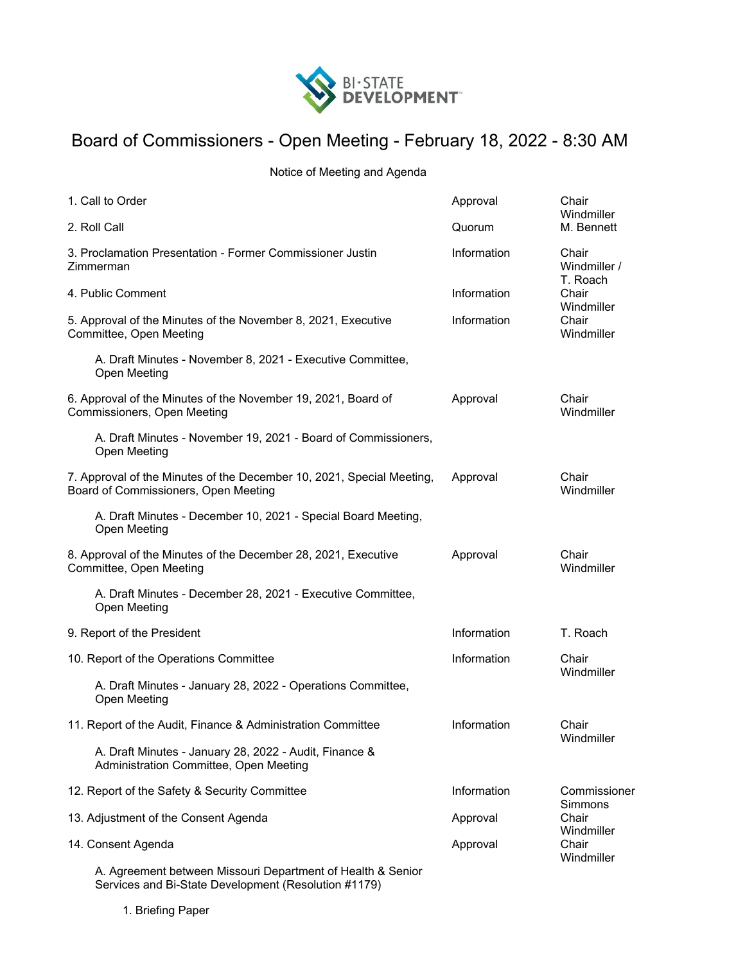

## Board of Commissioners - Open Meeting - February 18, 2022 - 8:30 AM

Notice of Meeting and Agenda

| 1. Call to Order                                                                                                    | Approval    | Chair<br>Windmiller<br>M. Bennett                                               |
|---------------------------------------------------------------------------------------------------------------------|-------------|---------------------------------------------------------------------------------|
| 2. Roll Call                                                                                                        | Quorum      |                                                                                 |
| 3. Proclamation Presentation - Former Commissioner Justin<br>Zimmerman                                              | Information | Chair<br>Windmiller /<br>T. Roach<br>Chair<br>Windmiller<br>Chair<br>Windmiller |
| 4. Public Comment                                                                                                   | Information |                                                                                 |
| 5. Approval of the Minutes of the November 8, 2021, Executive<br>Committee, Open Meeting                            | Information |                                                                                 |
| A. Draft Minutes - November 8, 2021 - Executive Committee,<br>Open Meeting                                          |             |                                                                                 |
| 6. Approval of the Minutes of the November 19, 2021, Board of<br>Commissioners, Open Meeting                        | Approval    | Chair<br>Windmiller                                                             |
| A. Draft Minutes - November 19, 2021 - Board of Commissioners,<br><b>Open Meeting</b>                               |             |                                                                                 |
| 7. Approval of the Minutes of the December 10, 2021, Special Meeting,<br>Board of Commissioners, Open Meeting       | Approval    | Chair<br>Windmiller                                                             |
| A. Draft Minutes - December 10, 2021 - Special Board Meeting,<br>Open Meeting                                       |             |                                                                                 |
| 8. Approval of the Minutes of the December 28, 2021, Executive<br>Committee, Open Meeting                           | Approval    | Chair<br>Windmiller                                                             |
| A. Draft Minutes - December 28, 2021 - Executive Committee,<br>Open Meeting                                         |             |                                                                                 |
| 9. Report of the President                                                                                          | Information | T. Roach                                                                        |
| 10. Report of the Operations Committee                                                                              | Information | Chair<br>Windmiller                                                             |
| A. Draft Minutes - January 28, 2022 - Operations Committee,<br>Open Meeting                                         |             |                                                                                 |
| 11. Report of the Audit, Finance & Administration Committee                                                         | Information | Chair<br>Windmiller                                                             |
| A. Draft Minutes - January 28, 2022 - Audit, Finance &<br>Administration Committee, Open Meeting                    |             |                                                                                 |
| 12. Report of the Safety & Security Committee                                                                       | Information | Commissioner<br>Simmons<br>Chair<br>Windmiller<br>Chair<br>Windmiller           |
| 13. Adjustment of the Consent Agenda                                                                                | Approval    |                                                                                 |
| 14. Consent Agenda                                                                                                  | Approval    |                                                                                 |
| A. Agreement between Missouri Department of Health & Senior<br>Services and Bi-State Development (Resolution #1179) |             |                                                                                 |

1. Briefing Paper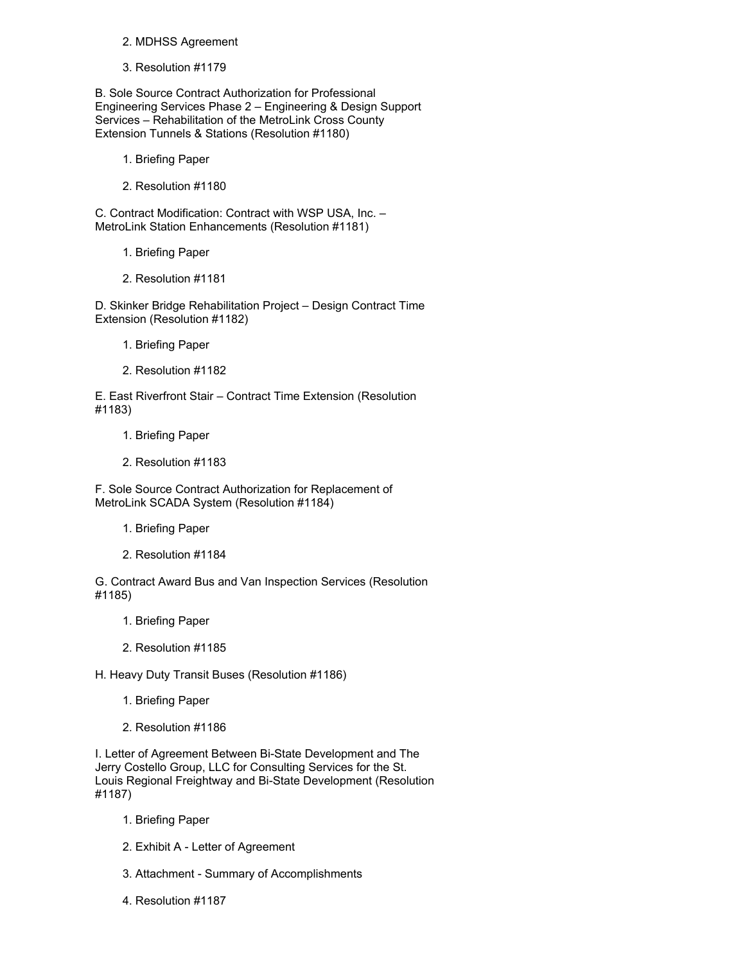## 2. MDHSS Agreement

3. Resolution #1179

B. Sole Source Contract Authorization for Professional Engineering Services Phase 2 – Engineering & Design Support Services – Rehabilitation of the MetroLink Cross County Extension Tunnels & Stations (Resolution #1180)

- 1. Briefing Paper
- 2. Resolution #1180

C. Contract Modification: Contract with WSP USA, Inc. – MetroLink Station Enhancements (Resolution #1181)

- 1. Briefing Paper
- 2. Resolution #1181

D. Skinker Bridge Rehabilitation Project – Design Contract Time Extension (Resolution #1182)

- 1. Briefing Paper
- 2. Resolution #1182

E. East Riverfront Stair – Contract Time Extension (Resolution #1183)

- 1. Briefing Paper
- 2. Resolution #1183

F. Sole Source Contract Authorization for Replacement of MetroLink SCADA System (Resolution #1184)

- 1. Briefing Paper
- 2. Resolution #1184

G. Contract Award Bus and Van Inspection Services (Resolution #1185)

- 1. Briefing Paper
- 2. Resolution #1185

H. Heavy Duty Transit Buses (Resolution #1186)

- 1. Briefing Paper
- 2. Resolution #1186

I. Letter of Agreement Between Bi-State Development and The Jerry Costello Group, LLC for Consulting Services for the St. Louis Regional Freightway and Bi-State Development (Resolution #1187)

- 1. Briefing Paper
- 2. Exhibit A Letter of Agreement
- 3. Attachment Summary of Accomplishments
- 4. Resolution #1187